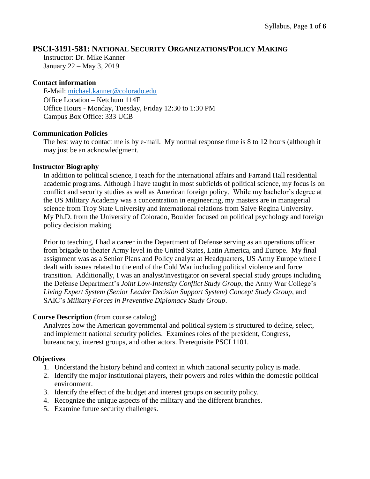## **PSCI-3191-581: NATIONAL SECURITY ORGANIZATIONS/POLICY MAKING**

Instructor: Dr. Mike Kanner January 22 – May 3, 2019

### **Contact information**

E-Mail: [michael.kanner@colorado.edu](mailto:michael.kanner@colorado.edu) Office Location – Ketchum 114F Office Hours - Monday, Tuesday, Friday 12:30 to 1:30 PM Campus Box Office: 333 UCB

### **Communication Policies**

The best way to contact me is by e-mail. My normal response time is 8 to 12 hours (although it may just be an acknowledgment.

### **Instructor Biography**

In addition to political science, I teach for the international affairs and Farrand Hall residential academic programs. Although I have taught in most subfields of political science, my focus is on conflict and security studies as well as American foreign policy. While my bachelor's degree at the US Military Academy was a concentration in engineering, my masters are in managerial science from Troy State University and international relations from Salve Regina University. My Ph.D. from the University of Colorado, Boulder focused on political psychology and foreign policy decision making.

Prior to teaching, I had a career in the Department of Defense serving as an operations officer from brigade to theater Army level in the United States, Latin America, and Europe. My final assignment was as a Senior Plans and Policy analyst at Headquarters, US Army Europe where I dealt with issues related to the end of the Cold War including political violence and force transition. Additionally, I was an analyst/investigator on several special study groups including the Defense Department's *Joint Low-Intensity Conflict Study Group*, the Army War College's *Living Expert System (Senior Leader Decision Support System) Concept Study Group*, and SAIC's *Military Forces in Preventive Diplomacy Study Group*.

## **Course Description** (from course catalog)

Analyzes how the American governmental and political system is structured to define, select, and implement national security policies. Examines roles of the president, Congress, bureaucracy, interest groups, and other actors. Prerequisite PSCI 1101.

## **Objectives**

- 1. Understand the history behind and context in which national security policy is made.
- 2. Identify the major institutional players, their powers and roles within the domestic political environment.
- 3. Identify the effect of the budget and interest groups on security policy.
- 4. Recognize the unique aspects of the military and the different branches.
- 5. Examine future security challenges.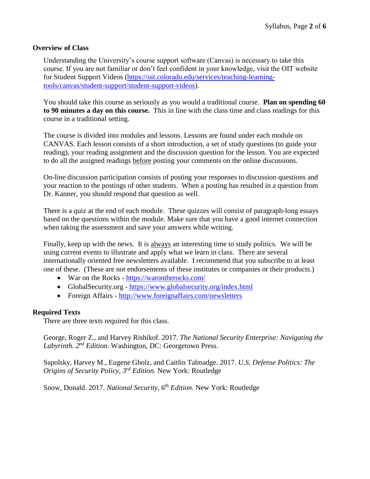#### **Overview of Class**

Understanding the University's course support software (Canvas) is necessary to take this course. If you are not familiar or don't feel confident in your knowledge, visit the OIT website for Student Support Videos [\(https://oit.colorado.edu/services/teaching-learning](https://oit.colorado.edu/services/teaching-learning-tools/canvas/student-support/student-support-videos)[tools/canvas/student-support/student-support-videos\)](https://oit.colorado.edu/services/teaching-learning-tools/canvas/student-support/student-support-videos).

You should take this course as seriously as you would a traditional course. **Plan on spending 60 to 90 minutes a day on this course.** This in line with the class time and class readings for this course in a traditional setting.

The course is divided into modules and lessons. Lessons are found under each module on CANVAS. Each lesson consists of a short introduction, a set of study questions (to guide your reading), your reading assignment and the discussion question for the lesson. You are expected to do all the assigned readings before posting your comments on the online discussions.

On-line discussion participation consists of posting your responses to discussion questions and your reaction to the postings of other students. When a posting has resulted in a question from Dr. Kanner, you should respond that question as well.

There is a quiz at the end of each module. These quizzes will consist of paragraph-long essays based on the questions within the module. Make sure that you have a good internet connection when taking the assessment and save your answers while writing.

Finally, keep up with the news. It is always an interesting time to study politics. We will be using current events to illustrate and apply what we learn in class. There are several internationally oriented free newsletters available. I recommend that you subscribe to at least one of these. (These are not endorsements of these institutes or companies or their products.)

- War on the Rocks <https://warontherocks.com/>
- GlobalSecurity.org <https://www.globalsecurity.org/index.html>
- Foreign Affairs <http://www.foreignaffairs.com/newsletters>

### **Required Texts**

There are three texts required for this class.

George, Roger Z., and Harvey Rishikof. 2017. *The National Security Enterprise: Navigating the Labyrinth. 2 nd Edition.* Washington, DC: Georgetown Press.

Sapolsky, Harvey M., Eugene Gholz, and Caitlin Talmadge. 2017. *U.S. Defense Politics: The Origins of Security Policy, 3rd Edition*. New York: Routledge

Snow, Donald. 2017. *National Security, 6th Edition*. New York: Routledge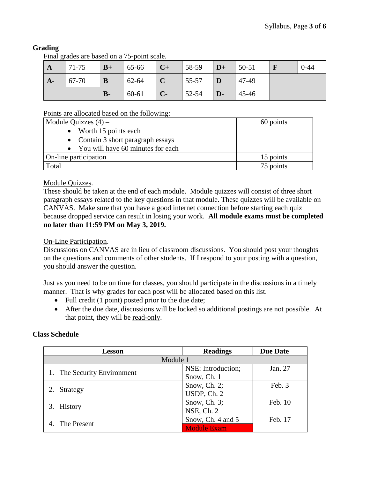# **Grading**

Final grades are based on a 75-point scale.

| $\mathbf A$ | 71-75 | $B+$  | 65-66 | $C+$        | 58-59 | $D+$         | $ 50-51$ | $0 - 44$ |
|-------------|-------|-------|-------|-------------|-------|--------------|----------|----------|
| $A-$        | 67-70 | B     | 62-64 | $\mathbf C$ | 55-57 |              | 47-49    |          |
|             |       | $B -$ | 60-61 | $C-$        | 52-54 | $\mathbf{D}$ | 45-46    |          |

Points are allocated based on the following:

| Module Quizzes $(4)$ –              | 60 points |
|-------------------------------------|-----------|
| $\bullet$ Worth 15 points each      |           |
| • Contain 3 short paragraph essays  |           |
| • You will have 60 minutes for each |           |
| On-line participation               | 15 points |
| Total                               | 75 points |

## Module Quizzes.

These should be taken at the end of each module. Module quizzes will consist of three short paragraph essays related to the key questions in that module. These quizzes will be available on CANVAS. Make sure that you have a good internet connection before starting each quiz because dropped service can result in losing your work. **All module exams must be completed no later than 11:59 PM on May 3, 2019.**

## On-Line Participation.

Discussions on CANVAS are in lieu of classroom discussions. You should post your thoughts on the questions and comments of other students. If I respond to your posting with a question, you should answer the question.

Just as you need to be on time for classes, you should participate in the discussions in a timely manner. That is why grades for each post will be allocated based on this list.

- Full credit (1 point) posted prior to the due date;
- After the due date, discussions will be locked so additional postings are not possible. At that point, they will be read-only.

## **Class Schedule**

| <b>Lesson</b>               | <b>Readings</b>    | <b>Due Date</b> |  |  |  |  |  |
|-----------------------------|--------------------|-----------------|--|--|--|--|--|
| Module 1                    |                    |                 |  |  |  |  |  |
|                             | NSE: Introduction; | Jan. 27         |  |  |  |  |  |
| 1. The Security Environment | Snow, Ch. 1        |                 |  |  |  |  |  |
|                             | Snow, Ch. $2$ ;    | Feb. 3          |  |  |  |  |  |
| Strategy                    | USDP, Ch. 2        |                 |  |  |  |  |  |
|                             | Snow, Ch. $3$ ;    | Feb. 10         |  |  |  |  |  |
| <b>History</b>              | NSE, Ch. 2         |                 |  |  |  |  |  |
| The Present                 | Snow, Ch. 4 and 5  | Feb. 17         |  |  |  |  |  |
|                             | <b>Module Exam</b> |                 |  |  |  |  |  |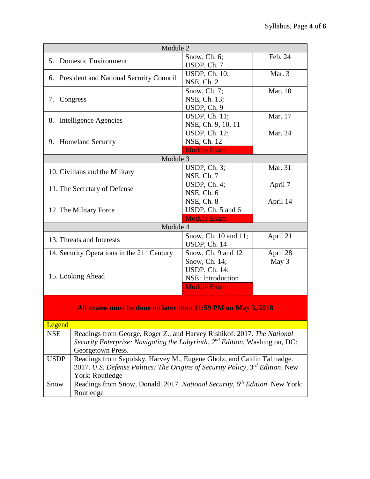| Module 2                                                                                            |                                                                                                  |          |  |  |  |  |  |
|-----------------------------------------------------------------------------------------------------|--------------------------------------------------------------------------------------------------|----------|--|--|--|--|--|
| 5. Domestic Environment                                                                             | Snow, Ch. 6;                                                                                     | Feb. 24  |  |  |  |  |  |
|                                                                                                     | USDP, Ch. 7                                                                                      |          |  |  |  |  |  |
|                                                                                                     | <b>USDP</b> , Ch. 10;                                                                            | Mar. 3   |  |  |  |  |  |
| 6. President and National Security Council                                                          | NSE, Ch. 2                                                                                       |          |  |  |  |  |  |
|                                                                                                     | Snow, Ch. 7;                                                                                     | Mar. 10  |  |  |  |  |  |
| 7. Congress                                                                                         | NSE, Ch. 13;                                                                                     |          |  |  |  |  |  |
|                                                                                                     | USDP, Ch. 9                                                                                      |          |  |  |  |  |  |
|                                                                                                     | USDP, Ch. 11;                                                                                    | Mar. 17  |  |  |  |  |  |
| Intelligence Agencies<br>8.                                                                         | NSE, Ch. 9, 10, 11                                                                               |          |  |  |  |  |  |
|                                                                                                     | USDP, Ch. 12;                                                                                    | Mar. 24  |  |  |  |  |  |
| 9. Homeland Security                                                                                | NSE, Ch. 12                                                                                      |          |  |  |  |  |  |
|                                                                                                     | <b>Module Exam</b>                                                                               |          |  |  |  |  |  |
| Module 3                                                                                            |                                                                                                  |          |  |  |  |  |  |
|                                                                                                     | USDP, $Ch. 3$ ;                                                                                  | Mar. 31  |  |  |  |  |  |
| 10. Civilians and the Military                                                                      | NSE, Ch. 7                                                                                       |          |  |  |  |  |  |
|                                                                                                     | USDP, $Ch. 4$ ;                                                                                  | April 7  |  |  |  |  |  |
| 11. The Secretary of Defense                                                                        | NSE, Ch. 6                                                                                       |          |  |  |  |  |  |
|                                                                                                     | NSE, Ch. 8                                                                                       | April 14 |  |  |  |  |  |
| 12. The Military Force                                                                              | USDP, Ch. 5 and 6                                                                                |          |  |  |  |  |  |
|                                                                                                     | <b>Module Exam</b>                                                                               |          |  |  |  |  |  |
| Module 4                                                                                            |                                                                                                  |          |  |  |  |  |  |
|                                                                                                     | Snow, Ch. 10 and 11;                                                                             | April 21 |  |  |  |  |  |
| 13. Threats and Interests                                                                           | USDP, Ch. 14                                                                                     |          |  |  |  |  |  |
| 14. Security Operations in the $21st$ Century                                                       | Snow, Ch. 9 and 12                                                                               | April 28 |  |  |  |  |  |
|                                                                                                     | Snow, Ch. 14;                                                                                    | May 3    |  |  |  |  |  |
|                                                                                                     | USDP, Ch. 14;                                                                                    |          |  |  |  |  |  |
| 15. Looking Ahead                                                                                   | NSE: Introduction                                                                                |          |  |  |  |  |  |
|                                                                                                     | <b>Module Exam</b>                                                                               |          |  |  |  |  |  |
|                                                                                                     |                                                                                                  |          |  |  |  |  |  |
|                                                                                                     |                                                                                                  |          |  |  |  |  |  |
| All exams must be done no later than 11:59 PM on May 3, 2018                                        |                                                                                                  |          |  |  |  |  |  |
| Legend                                                                                              |                                                                                                  |          |  |  |  |  |  |
| Readings from George, Roger Z., and Harvey Rishikof. 2017. The National<br><b>NSE</b>               |                                                                                                  |          |  |  |  |  |  |
|                                                                                                     | Security Enterprise: Navigating the Labyrinth. $2^{nd}$ Edition. Washington, DC:                 |          |  |  |  |  |  |
| Georgetown Press.                                                                                   |                                                                                                  |          |  |  |  |  |  |
| <b>USDP</b>                                                                                         | Readings from Sapolsky, Harvey M., Eugene Gholz, and Caitlin Talmadge.                           |          |  |  |  |  |  |
|                                                                                                     |                                                                                                  |          |  |  |  |  |  |
|                                                                                                     | 2017. U.S. Defense Politics: The Origins of Security Policy, 3rd Edition. New<br>York: Routledge |          |  |  |  |  |  |
| Readings from Snow, Donald. 2017. National Security, $\overline{6^{th}}$ Edition. New York:<br>Snow |                                                                                                  |          |  |  |  |  |  |
| Routledge                                                                                           |                                                                                                  |          |  |  |  |  |  |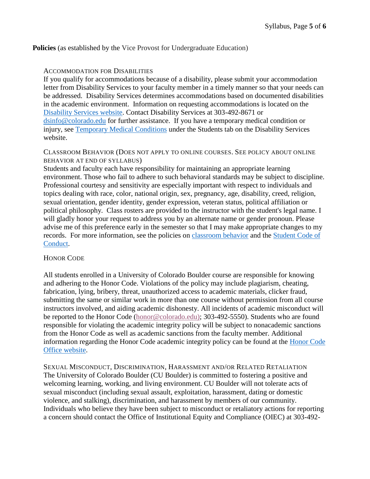### **Policies** (as established by the Vice Provost for Undergraduate Education)

### ACCOMMODATION FOR DISABILITIES

If you qualify for accommodations because of a disability, please submit your accommodation letter from Disability Services to your faculty member in a timely manner so that your needs can be addressed. Disability Services determines accommodations based on documented disabilities in the academic environment. Information on requesting accommodations is located on the [Disability Services website.](http://www.colorado.edu/disabilityservices/students) Contact Disability Services at 303-492-8671 or [dsinfo@colorado.edu](mailto:dsinfo@colorado.edu) for further assistance. If you have a temporary medical condition or injury, see [Temporary Medical Conditions](http://www.colorado.edu/disabilityservices/students/temporary-medical-conditions) under the Students tab on the Disability Services website.

### CLASSROOM BEHAVIOR (DOES NOT APPLY TO ONLINE COURSES. SEE POLICY ABOUT ONLINE BEHAVIOR AT END OF SYLLABUS)

Students and faculty each have responsibility for maintaining an appropriate learning environment. Those who fail to adhere to such behavioral standards may be subject to discipline. Professional courtesy and sensitivity are especially important with respect to individuals and topics dealing with race, color, national origin, sex, pregnancy, age, disability, creed, religion, sexual orientation, gender identity, gender expression, veteran status, political affiliation or political philosophy. Class rosters are provided to the instructor with the student's legal name. I will gladly honor your request to address you by an alternate name or gender pronoun. Please advise me of this preference early in the semester so that I may make appropriate changes to my records. For more information, see the policies on [classroom behavior](http://www.colorado.edu/policies/student-classroom-and-course-related-behavior) and the [Student Code of](http://www.colorado.edu/osccr/)  [Conduct.](http://www.colorado.edu/osccr/)

### HONOR CODE

All students enrolled in a University of Colorado Boulder course are responsible for knowing and adhering to the Honor Code. Violations of the policy may include plagiarism, cheating, fabrication, lying, bribery, threat, unauthorized access to academic materials, clicker fraud, submitting the same or similar work in more than one course without permission from all course instructors involved, and aiding academic dishonesty. All incidents of academic misconduct will be reported to the Honor Code [\(honor@colorado.edu\)](mailto:honor@colorado.edu); 303-492-5550). Students who are found responsible for violating the academic integrity policy will be subject to nonacademic sanctions from the Honor Code as well as academic sanctions from the faculty member. Additional information regarding the Honor Code academic integrity policy can be found at the [Honor Code](https://www.colorado.edu/osccr/honor-code)  [Office website.](https://www.colorado.edu/osccr/honor-code)

SEXUAL MISCONDUCT, DISCRIMINATION, HARASSMENT AND/OR RELATED RETALIATION The University of Colorado Boulder (CU Boulder) is committed to fostering a positive and welcoming learning, working, and living environment. CU Boulder will not tolerate acts of sexual misconduct (including sexual assault, exploitation, harassment, dating or domestic violence, and stalking), discrimination, and harassment by members of our community. Individuals who believe they have been subject to misconduct or retaliatory actions for reporting a concern should contact the Office of Institutional Equity and Compliance (OIEC) at 303-492